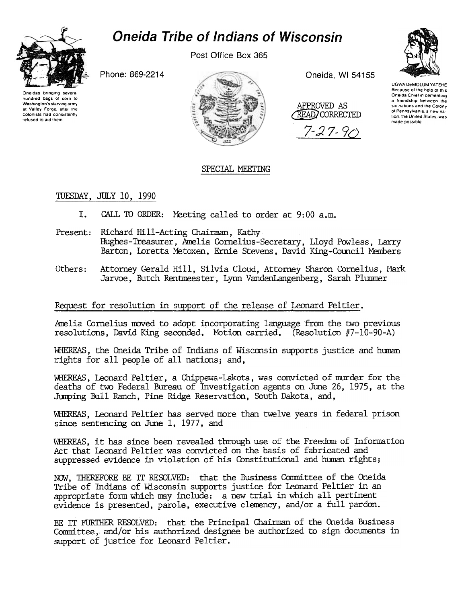# **Oneida Tribe of Indians of Wisconsin**



hundred bags of corn to

Washington's starving army

at Valley Forge, after the

colonists had consistently

refused to aid them

Post Office Box 365

Phone: 869-2214



Oneida, WI 54155

APPROVED AS READ CORRECTED

 $7 - 27 - 9$ 



UGWA DEMOLUM YATEHE Because of the help of this<br>Oneida Chief in cementing a friendship between the six nations and the Colony of Pennsylvania, a new nation, the United States, was made possible

# SPECIAL MEETING

TUESDAY, JULY 10, 1990

- I. CALL TO ORDER: Meeting called to order at 9:00 a.m.
- Present: Richard Hill-Acting Chairman, Kathy Hughes-Treasurer, Amelia Cornelius-Secretary, Lloyd Powless, Larry Barton, Loretta Metoxen, Ernie Stevens, David King-Council Members
- Attorney Gerald Hill, Silvia Cloud, Attorney Sharon Cornelius, Mark Others: Jarvoe, Butch Rentmeester, Lynn VandenLangenberg, Sarah Plummer

# Request for resolution in support of the release of Leonard Peltier.

Amelia Cornelius moved to adopt incorporating language from the two previous resolutions, David King seconded. Motion carried. (Resolution #7-10-90-A)

WHEREAS, the Oneida Tribe of Indians of Wisconsin supports justice and human rights for all people of all nations; and,

WHEREAS, Leonard Peltier, a Chippewa-Lakota, was convicted of murder for the deaths of two Federal Bureau of Investigation agents on June 26, 1975, at the Jumping Bull Ranch, Pine Ridge Reservation, South Dakota, and,

WHEREAS, Leonard Peltier has served more than twelve years in federal prison since sentencing on June 1, 1977, and

WHEREAS, it has since been revealed through use of the Freedom of Information Act that Leonard Peltier was convicted on the basis of fabricated and suppressed evidence in violation of his Constitutional and human rights;

NOW, THEREFORE BE IT RESOLVED: that the Business Committee of the Oneida Tribe of Indians of Wisconsin supports justice for Leonard Peltier in an appropriate form which may include: a new trial in which all pertinent evidence is presented, parole, executive clemency, and/or a full pardon.

BE IT FURTHER RESOLVED: that the Principal Chairman of the Oneida Business Committee, and/or his authorized designee be authorized to sign documents in support of justice for Leonard Peltier.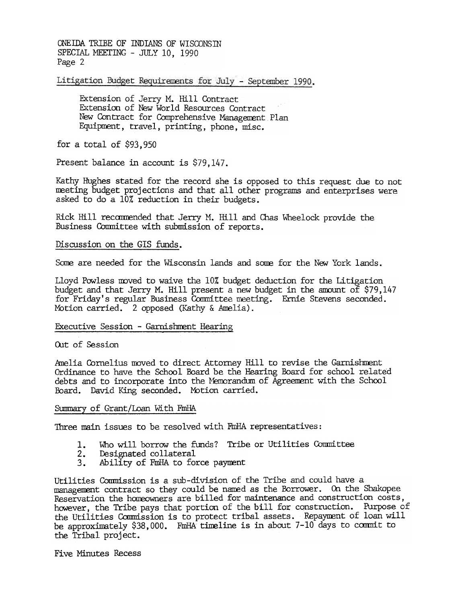ONEIDA TRIBE OF INDIANS OF WISCONSTN SPECIAL MEETING - JULY 10, 1990 Page 2

Litigation Budget Requirements for July - September 1990.

Extension of Jerry M. Hill Contract Extension of New World Resources Contract New Contract for Comprehensive Management Plan Equipment, travel, printing, phone, misc.

for a total of \$93,950

Present balance in account is \$79,147.

Kathy Hughes stated for the record she is opposed to this request due to not meeting budget projections and that all other programs and enterprises were asked to do a 10% reduction in their budgets.

Rick Hill recommended that Jerry M. Hill and Chas Wheelock provide the Business Committee with submission of reports.

## Discussion on the GIS funds.

Some are needed for the Wisconsin lands and some for the New York lands.

Lloyd Powless moved to waive the 10% budget deduction for the Litigation budget and that Jerry M. Hill present a new bUdget in the amount of \$79,147 for Friday's regular Business Committee meeting. Ernie Stevens seconded. Motion carried. 2 opposed (Kathy & Amelia).

### Executive Session - Garnishment Hearing

Out of Session

Amelia Cornelius moved to direct Attorney Hill to revise the Garnishment Ordinance to have the School Board be the Hearing Board for school related debts and to incorporate into the Memorandum of Agreement with the School Board. David King seconded. Mbtion carried.

### Summary of Grant/Loan With FmHA

Three main issues to be resolved with FmHA representatives:

- Who will borrow the funds? Tribe or Utilities Committee  $1.$
- Designated collateral  $\frac{2}{3}$ .
- Ability of FmHA to force payment

Utilities Commission is a sub-division of the Tribe and could have a management contract so they could be named as the Borrower. On the Shakopee Reservation the homeowners are billed for maintenance and construction costs, however, the Tribe pays that portion of the bill for construction. Purpose of the Utilities Commission is to protect tribal assets. Repayment of loan will be approximately \$38,000. FmHA timeline is in about 7-10 days to commit to the Tribal project.

Five Minutes Recess